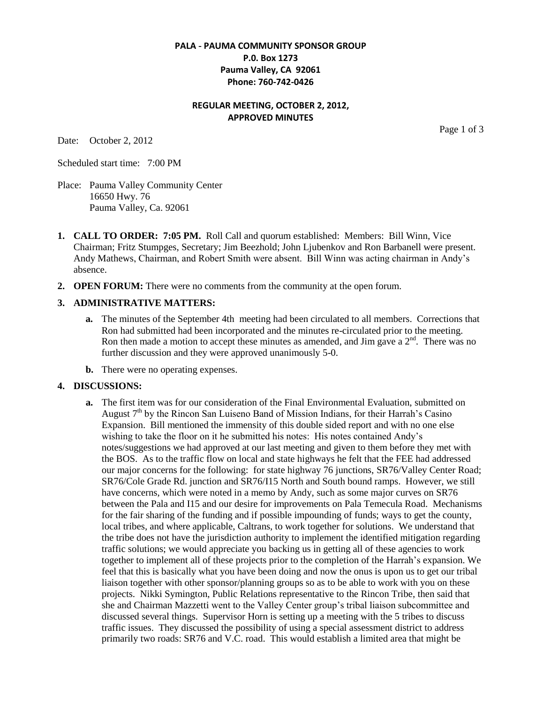#### **PALA - PAUMA COMMUNITY SPONSOR GROUP P.0. Box 1273 Pauma Valley, CA 92061 Phone: 760-742-0426**

#### **REGULAR MEETING, OCTOBER 2, 2012, APPROVED MINUTES**

Date: October 2, 2012

Page 1 of 3

Scheduled start time: 7:00 PM

- Place: Pauma Valley Community Center 16650 Hwy. 76 Pauma Valley, Ca. 92061
- **1. CALL TO ORDER: 7:05 PM.** Roll Call and quorum established: Members: Bill Winn, Vice Chairman; Fritz Stumpges, Secretary; Jim Beezhold; John Ljubenkov and Ron Barbanell were present. Andy Mathews, Chairman, and Robert Smith were absent. Bill Winn was acting chairman in Andy's absence.
- **2. OPEN FORUM:** There were no comments from the community at the open forum.

#### **3. ADMINISTRATIVE MATTERS:**

- **a.** The minutes of the September 4th meeting had been circulated to all members. Corrections that Ron had submitted had been incorporated and the minutes re-circulated prior to the meeting. Ron then made a motion to accept these minutes as amended, and Jim gave a  $2<sup>nd</sup>$ . There was no further discussion and they were approved unanimously 5-0.
- **b.** There were no operating expenses.

#### **4. DISCUSSIONS:**

**a.** The first item was for our consideration of the Final Environmental Evaluation, submitted on August  $7<sup>th</sup>$  by the Rincon San Luiseno Band of Mission Indians, for their Harrah's Casino Expansion. Bill mentioned the immensity of this double sided report and with no one else wishing to take the floor on it he submitted his notes: His notes contained Andy's notes/suggestions we had approved at our last meeting and given to them before they met with the BOS. As to the traffic flow on local and state highways he felt that the FEE had addressed our major concerns for the following: for state highway 76 junctions, SR76/Valley Center Road; SR76/Cole Grade Rd. junction and SR76/I15 North and South bound ramps. However, we still have concerns, which were noted in a memo by Andy, such as some major curves on SR76 between the Pala and I15 and our desire for improvements on Pala Temecula Road. Mechanisms for the fair sharing of the funding and if possible impounding of funds; ways to get the county, local tribes, and where applicable, Caltrans, to work together for solutions. We understand that the tribe does not have the jurisdiction authority to implement the identified mitigation regarding traffic solutions; we would appreciate you backing us in getting all of these agencies to work together to implement all of these projects prior to the completion of the Harrah's expansion. We feel that this is basically what you have been doing and now the onus is upon us to get our tribal liaison together with other sponsor/planning groups so as to be able to work with you on these projects. Nikki Symington, Public Relations representative to the Rincon Tribe, then said that she and Chairman Mazzetti went to the Valley Center group's tribal liaison subcommittee and discussed several things. Supervisor Horn is setting up a meeting with the 5 tribes to discuss traffic issues. They discussed the possibility of using a special assessment district to address primarily two roads: SR76 and V.C. road. This would establish a limited area that might be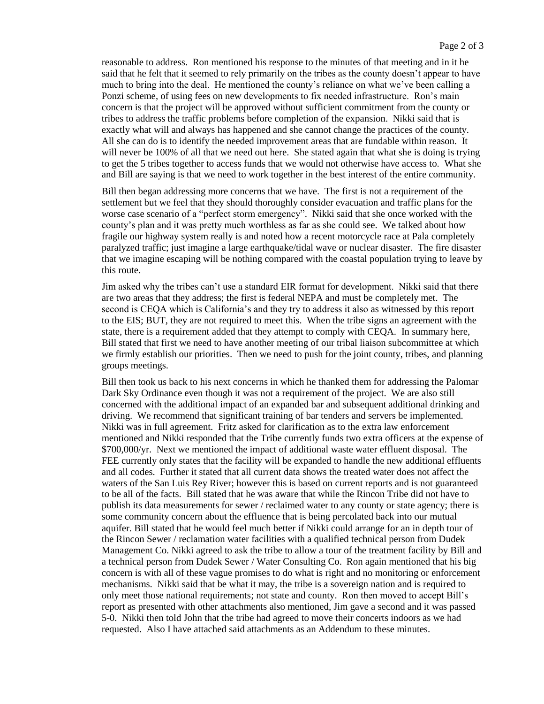reasonable to address. Ron mentioned his response to the minutes of that meeting and in it he said that he felt that it seemed to rely primarily on the tribes as the county doesn't appear to have much to bring into the deal. He mentioned the county's reliance on what we've been calling a Ponzi scheme, of using fees on new developments to fix needed infrastructure. Ron's main concern is that the project will be approved without sufficient commitment from the county or tribes to address the traffic problems before completion of the expansion. Nikki said that is exactly what will and always has happened and she cannot change the practices of the county. All she can do is to identify the needed improvement areas that are fundable within reason. It will never be 100% of all that we need out here. She stated again that what she is doing is trying to get the 5 tribes together to access funds that we would not otherwise have access to. What she and Bill are saying is that we need to work together in the best interest of the entire community.

Bill then began addressing more concerns that we have. The first is not a requirement of the settlement but we feel that they should thoroughly consider evacuation and traffic plans for the worse case scenario of a "perfect storm emergency". Nikki said that she once worked with the county's plan and it was pretty much worthless as far as she could see. We talked about how fragile our highway system really is and noted how a recent motorcycle race at Pala completely paralyzed traffic; just imagine a large earthquake/tidal wave or nuclear disaster. The fire disaster that we imagine escaping will be nothing compared with the coastal population trying to leave by this route.

Jim asked why the tribes can't use a standard EIR format for development. Nikki said that there are two areas that they address; the first is federal NEPA and must be completely met. The second is CEQA which is California's and they try to address it also as witnessed by this report to the EIS; BUT, they are not required to meet this. When the tribe signs an agreement with the state, there is a requirement added that they attempt to comply with CEQA. In summary here, Bill stated that first we need to have another meeting of our tribal liaison subcommittee at which we firmly establish our priorities. Then we need to push for the joint county, tribes, and planning groups meetings.

Bill then took us back to his next concerns in which he thanked them for addressing the Palomar Dark Sky Ordinance even though it was not a requirement of the project. We are also still concerned with the additional impact of an expanded bar and subsequent additional drinking and driving. We recommend that significant training of bar tenders and servers be implemented. Nikki was in full agreement. Fritz asked for clarification as to the extra law enforcement mentioned and Nikki responded that the Tribe currently funds two extra officers at the expense of \$700,000/yr. Next we mentioned the impact of additional waste water effluent disposal. The FEE currently only states that the facility will be expanded to handle the new additional effluents and all codes. Further it stated that all current data shows the treated water does not affect the waters of the San Luis Rey River; however this is based on current reports and is not guaranteed to be all of the facts. Bill stated that he was aware that while the Rincon Tribe did not have to publish its data measurements for sewer / reclaimed water to any county or state agency; there is some community concern about the effluence that is being percolated back into our mutual aquifer. Bill stated that he would feel much better if Nikki could arrange for an in depth tour of the Rincon Sewer / reclamation water facilities with a qualified technical person from Dudek Management Co. Nikki agreed to ask the tribe to allow a tour of the treatment facility by Bill and a technical person from Dudek Sewer / Water Consulting Co. Ron again mentioned that his big concern is with all of these vague promises to do what is right and no monitoring or enforcement mechanisms. Nikki said that be what it may, the tribe is a sovereign nation and is required to only meet those national requirements; not state and county. Ron then moved to accept Bill's report as presented with other attachments also mentioned, Jim gave a second and it was passed 5-0. Nikki then told John that the tribe had agreed to move their concerts indoors as we had requested. Also I have attached said attachments as an Addendum to these minutes.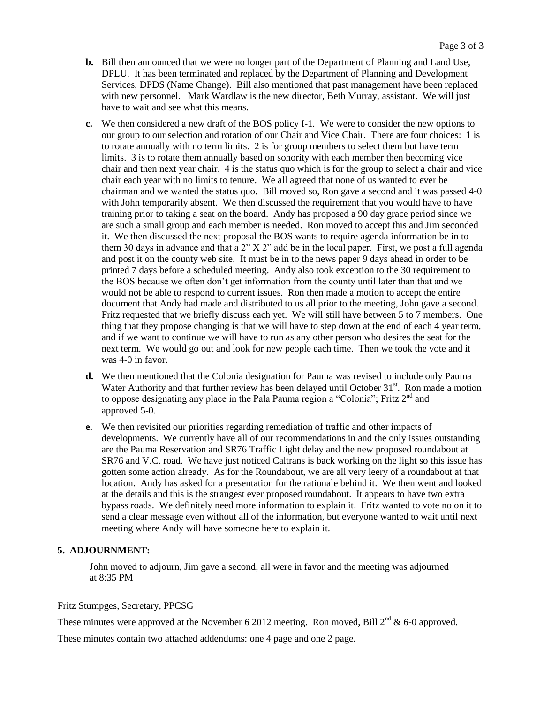- **b.** Bill then announced that we were no longer part of the Department of Planning and Land Use, DPLU. It has been terminated and replaced by the Department of Planning and Development Services, DPDS (Name Change). Bill also mentioned that past management have been replaced with new personnel. Mark Wardlaw is the new director, Beth Murray, assistant. We will just have to wait and see what this means.
- **c.** We then considered a new draft of the BOS policy I-1. We were to consider the new options to our group to our selection and rotation of our Chair and Vice Chair. There are four choices: 1 is to rotate annually with no term limits. 2 is for group members to select them but have term limits. 3 is to rotate them annually based on sonority with each member then becoming vice chair and then next year chair. 4 is the status quo which is for the group to select a chair and vice chair each year with no limits to tenure. We all agreed that none of us wanted to ever be chairman and we wanted the status quo. Bill moved so, Ron gave a second and it was passed 4-0 with John temporarily absent. We then discussed the requirement that you would have to have training prior to taking a seat on the board. Andy has proposed a 90 day grace period since we are such a small group and each member is needed. Ron moved to accept this and Jim seconded it. We then discussed the next proposal the BOS wants to require agenda information be in to them 30 days in advance and that a 2" X 2" add be in the local paper. First, we post a full agenda and post it on the county web site. It must be in to the news paper 9 days ahead in order to be printed 7 days before a scheduled meeting. Andy also took exception to the 30 requirement to the BOS because we often don't get information from the county until later than that and we would not be able to respond to current issues. Ron then made a motion to accept the entire document that Andy had made and distributed to us all prior to the meeting, John gave a second. Fritz requested that we briefly discuss each yet. We will still have between 5 to 7 members. One thing that they propose changing is that we will have to step down at the end of each 4 year term, and if we want to continue we will have to run as any other person who desires the seat for the next term. We would go out and look for new people each time. Then we took the vote and it was 4-0 in favor.
- **d.** We then mentioned that the Colonia designation for Pauma was revised to include only Pauma Water Authority and that further review has been delayed until October 31<sup>st</sup>. Ron made a motion to oppose designating any place in the Pala Pauma region a "Colonia"; Fritz  $2<sup>nd</sup>$  and approved 5-0.
- **e.** We then revisited our priorities regarding remediation of traffic and other impacts of developments. We currently have all of our recommendations in and the only issues outstanding are the Pauma Reservation and SR76 Traffic Light delay and the new proposed roundabout at SR76 and V.C. road. We have just noticed Caltrans is back working on the light so this issue has gotten some action already. As for the Roundabout, we are all very leery of a roundabout at that location. Andy has asked for a presentation for the rationale behind it. We then went and looked at the details and this is the strangest ever proposed roundabout. It appears to have two extra bypass roads. We definitely need more information to explain it. Fritz wanted to vote no on it to send a clear message even without all of the information, but everyone wanted to wait until next meeting where Andy will have someone here to explain it.

#### **5. ADJOURNMENT:**

 John moved to adjourn, Jim gave a second, all were in favor and the meeting was adjourned at 8:35 PM

Fritz Stumpges, Secretary, PPCSG

These minutes were approved at the November 6 2012 meeting. Ron moved, Bill  $2^{nd}$  & 6-0 approved.

These minutes contain two attached addendums: one 4 page and one 2 page.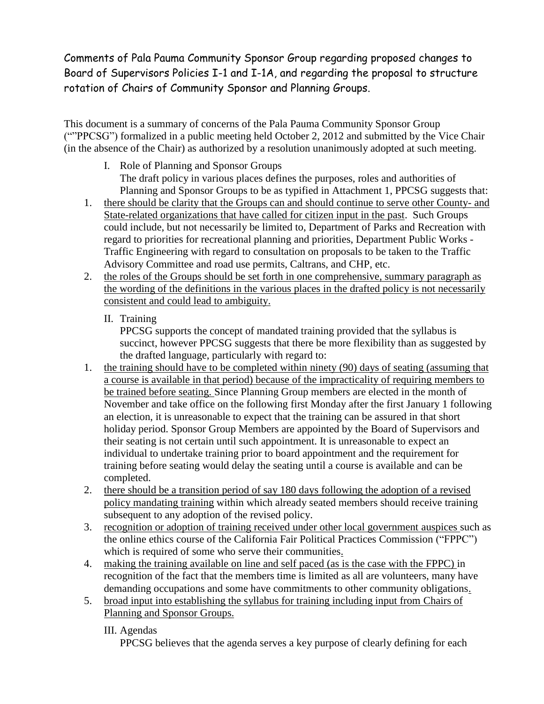Comments of Pala Pauma Community Sponsor Group regarding proposed changes to Board of Supervisors Policies I-1 and I-1A, and regarding the proposal to structure rotation of Chairs of Community Sponsor and Planning Groups.

This document is a summary of concerns of the Pala Pauma Community Sponsor Group (""PPCSG") formalized in a public meeting held October 2, 2012 and submitted by the Vice Chair (in the absence of the Chair) as authorized by a resolution unanimously adopted at such meeting.

- I. Role of Planning and Sponsor Groups The draft policy in various places defines the purposes, roles and authorities of Planning and Sponsor Groups to be as typified in Attachment 1, PPCSG suggests that:
- 1. there should be clarity that the Groups can and should continue to serve other County- and State-related organizations that have called for citizen input in the past. Such Groups could include, but not necessarily be limited to, Department of Parks and Recreation with regard to priorities for recreational planning and priorities, Department Public Works - Traffic Engineering with regard to consultation on proposals to be taken to the Traffic Advisory Committee and road use permits, Caltrans, and CHP, etc.
- 2. the roles of the Groups should be set forth in one comprehensive, summary paragraph as the wording of the definitions in the various places in the drafted policy is not necessarily consistent and could lead to ambiguity.
	- II. Training

PPCSG supports the concept of mandated training provided that the syllabus is succinct, however PPCSG suggests that there be more flexibility than as suggested by the drafted language, particularly with regard to:

- 1. the training should have to be completed within ninety (90) days of seating (assuming that a course is available in that period) because of the impracticality of requiring members to be trained before seating. Since Planning Group members are elected in the month of November and take office on the following first Monday after the first January 1 following an election, it is unreasonable to expect that the training can be assured in that short holiday period. Sponsor Group Members are appointed by the Board of Supervisors and their seating is not certain until such appointment. It is unreasonable to expect an individual to undertake training prior to board appointment and the requirement for training before seating would delay the seating until a course is available and can be completed.
- 2. there should be a transition period of say 180 days following the adoption of a revised policy mandating training within which already seated members should receive training subsequent to any adoption of the revised policy.
- 3. recognition or adoption of training received under other local government auspices such as the online ethics course of the California Fair Political Practices Commission ("FPPC") which is required of some who serve their communities.
- 4. making the training available on line and self paced (as is the case with the FPPC) in recognition of the fact that the members time is limited as all are volunteers, many have demanding occupations and some have commitments to other community obligations.
- 5. broad input into establishing the syllabus for training including input from Chairs of Planning and Sponsor Groups.

III. Agendas

PPCSG believes that the agenda serves a key purpose of clearly defining for each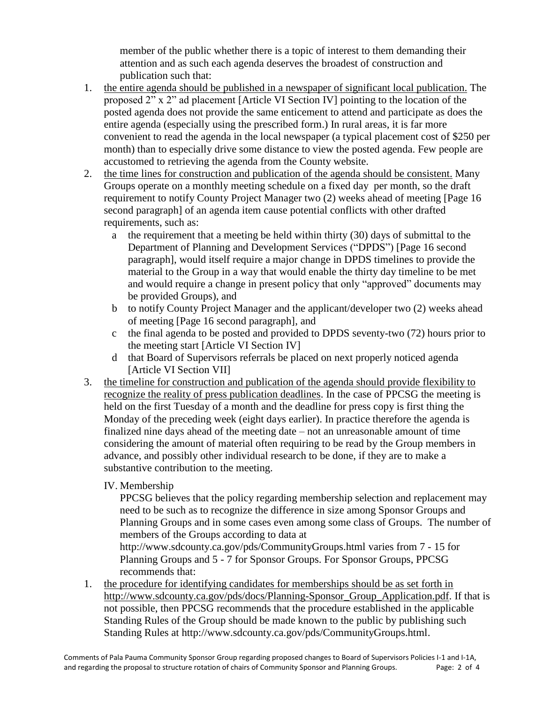member of the public whether there is a topic of interest to them demanding their attention and as such each agenda deserves the broadest of construction and publication such that:

- 1. the entire agenda should be published in a newspaper of significant local publication. The proposed 2" x 2" ad placement [Article VI Section IV] pointing to the location of the posted agenda does not provide the same enticement to attend and participate as does the entire agenda (especially using the prescribed form.) In rural areas, it is far more convenient to read the agenda in the local newspaper (a typical placement cost of \$250 per month) than to especially drive some distance to view the posted agenda. Few people are accustomed to retrieving the agenda from the County website.
- 2. the time lines for construction and publication of the agenda should be consistent. Many Groups operate on a monthly meeting schedule on a fixed day per month, so the draft requirement to notify County Project Manager two (2) weeks ahead of meeting [Page 16 second paragraph] of an agenda item cause potential conflicts with other drafted requirements, such as:
	- a the requirement that a meeting be held within thirty (30) days of submittal to the Department of Planning and Development Services ("DPDS") [Page 16 second paragraph], would itself require a major change in DPDS timelines to provide the material to the Group in a way that would enable the thirty day timeline to be met and would require a change in present policy that only "approved" documents may be provided Groups), and
	- b to notify County Project Manager and the applicant/developer two (2) weeks ahead of meeting [Page 16 second paragraph], and
	- c the final agenda to be posted and provided to DPDS seventy-two (72) hours prior to the meeting start [Article VI Section IV]
	- d that Board of Supervisors referrals be placed on next properly noticed agenda [Article VI Section VII]
- 3. the timeline for construction and publication of the agenda should provide flexibility to recognize the reality of press publication deadlines. In the case of PPCSG the meeting is held on the first Tuesday of a month and the deadline for press copy is first thing the Monday of the preceding week (eight days earlier). In practice therefore the agenda is finalized nine days ahead of the meeting date – not an unreasonable amount of time considering the amount of material often requiring to be read by the Group members in advance, and possibly other individual research to be done, if they are to make a substantive contribution to the meeting.
	- IV. Membership

PPCSG believes that the policy regarding membership selection and replacement may need to be such as to recognize the difference in size among Sponsor Groups and Planning Groups and in some cases even among some class of Groups. The number of members of the Groups according to data at

<http://www.sdcounty.ca.gov/pds/CommunityGroups.html> varies from 7 - 15 for Planning Groups and 5 - 7 for Sponsor Groups. For Sponsor Groups, PPCSG recommends that:

1. the procedure for identifying candidates for memberships should be as set forth in [http://www.sdcounty.ca.gov/pds/docs/Planning-Sponsor\\_Group\\_Application.pdf.](http://www.sdcounty.ca.gov/pds/docs/Planning-Sponsor_Group_Application.pdf) If that is not possible, then PPCSG recommends that the procedure established in the applicable Standing Rules of the Group should be made known to the public by publishing such Standing Rules at [http://www.sdcounty.ca.gov/pds/CommunityGroups.html.](http://www.sdcounty.ca.gov/pds/CommunityGroups.html)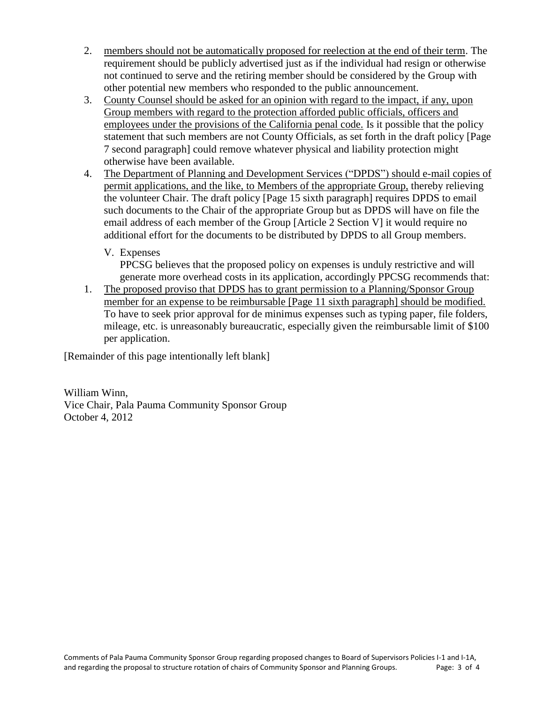- 2. members should not be automatically proposed for reelection at the end of their term. The requirement should be publicly advertised just as if the individual had resign or otherwise not continued to serve and the retiring member should be considered by the Group with other potential new members who responded to the public announcement.
- 3. County Counsel should be asked for an opinion with regard to the impact, if any, upon Group members with regard to the protection afforded public officials, officers and employees under the provisions of the California penal code. Is it possible that the policy statement that such members are not County Officials, as set forth in the draft policy [Page 7 second paragraph] could remove whatever physical and liability protection might otherwise have been available.
- 4. The Department of Planning and Development Services ("DPDS") should e-mail copies of permit applications, and the like, to Members of the appropriate Group, thereby relieving the volunteer Chair. The draft policy [Page 15 sixth paragraph] requires DPDS to email such documents to the Chair of the appropriate Group but as DPDS will have on file the email address of each member of the Group [Article 2 Section V] it would require no additional effort for the documents to be distributed by DPDS to all Group members.
	- V. Expenses

PPCSG believes that the proposed policy on expenses is unduly restrictive and will generate more overhead costs in its application, accordingly PPCSG recommends that:

1. The proposed proviso that DPDS has to grant permission to a Planning/Sponsor Group member for an expense to be reimbursable [Page 11 sixth paragraph] should be modified. To have to seek prior approval for de minimus expenses such as typing paper, file folders, mileage, etc. is unreasonably bureaucratic, especially given the reimbursable limit of \$100 per application.

[Remainder of this page intentionally left blank]

William Winn, Vice Chair, Pala Pauma Community Sponsor Group October 4, 2012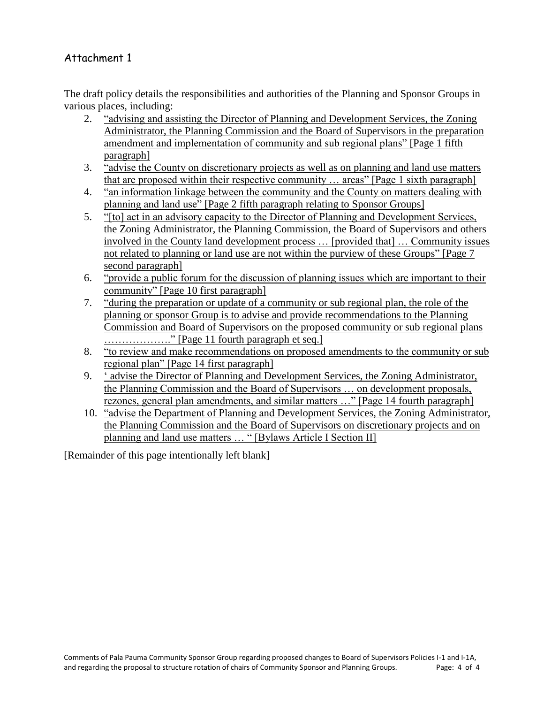# Attachment 1

The draft policy details the responsibilities and authorities of the Planning and Sponsor Groups in various places, including:

- 2. "advising and assisting the Director of Planning and Development Services, the Zoning Administrator, the Planning Commission and the Board of Supervisors in the preparation amendment and implementation of community and sub regional plans" [Page 1 fifth paragraph]
- 3. "advise the County on discretionary projects as well as on planning and land use matters that are proposed within their respective community … areas" [Page 1 sixth paragraph]
- 4. "an information linkage between the community and the County on matters dealing with planning and land use" [Page 2 fifth paragraph relating to Sponsor Groups]
- 5. "[to] act in an advisory capacity to the Director of Planning and Development Services, the Zoning Administrator, the Planning Commission, the Board of Supervisors and others involved in the County land development process … [provided that] … Community issues not related to planning or land use are not within the purview of these Groups" [Page 7 second paragraph]
- 6. "provide a public forum for the discussion of planning issues which are important to their community" [Page 10 first paragraph]
- 7. "during the preparation or update of a community or sub regional plan, the role of the planning or sponsor Group is to advise and provide recommendations to the Planning Commission and Board of Supervisors on the proposed community or sub regional plans ………………." [Page 11 fourth paragraph et seq.]
- 8. "to review and make recommendations on proposed amendments to the community or sub regional plan" [Page 14 first paragraph]
- 9. " advise the Director of Planning and Development Services, the Zoning Administrator, the Planning Commission and the Board of Supervisors … on development proposals, rezones, general plan amendments, and similar matters …" [Page 14 fourth paragraph]
- 10. "advise the Department of Planning and Development Services, the Zoning Administrator, the Planning Commission and the Board of Supervisors on discretionary projects and on planning and land use matters … " [Bylaws Article I Section II]

[Remainder of this page intentionally left blank]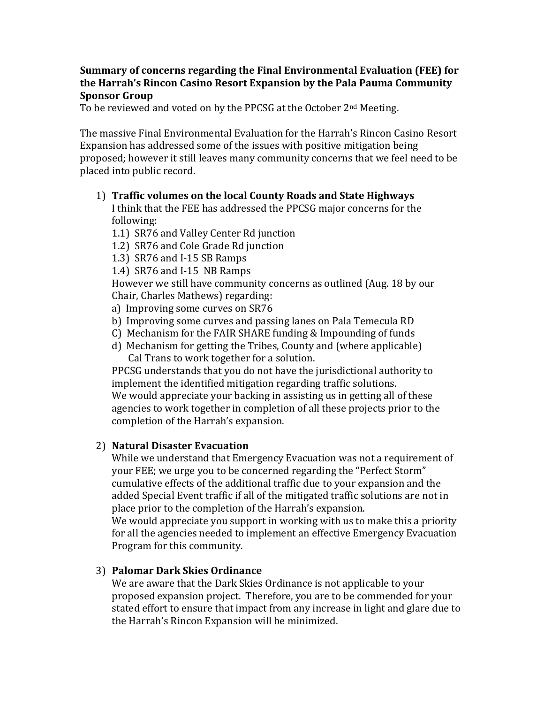### **Summary of concerns regarding the Final Environmental Evaluation (FEE) for the Harrah's Rincon Casino Resort Expansion by the Pala Pauma Community Sponsor Group**

To be reviewed and voted on by the PPCSG at the October 2<sup>nd</sup> Meeting.

The massive Final Environmental Evaluation for the Harrah's Rincon Casino Resort Expansion has addressed some of the issues with positive mitigation being proposed; however it still leaves many community concerns that we feel need to be placed into public record.

# 1) **Traffic volumes on the local County Roads and State Highways**

I think that the FEE has addressed the PPCSG major concerns for the following:

- 1.1) SR76 and Valley Center Rd junction
- 1.2) SR76 and Cole Grade Rd junction
- 1.3) SR76 and I-15 SB Ramps
- 1.4) SR76 and I-15 NB Ramps

However we still have community concerns as outlined (Aug. 18 by our Chair, Charles Mathews) regarding:

- a) Improving some curves on SR76
- b) Improving some curves and passing lanes on Pala Temecula RD
- C) Mechanism for the FAIR SHARE funding & Impounding of funds
- d) Mechanism for getting the Tribes, County and (where applicable) Cal Trans to work together for a solution.

PPCSG understands that you do not have the jurisdictional authority to implement the identified mitigation regarding traffic solutions. We would appreciate your backing in assisting us in getting all of these agencies to work together in completion of all these projects prior to the completion of the Harrah's expansion.

# 2) **Natural Disaster Evacuation**

While we understand that Emergency Evacuation was not a requirement of your FEE; we urge you to be concerned regarding the "Perfect Storm" cumulative effects of the additional traffic due to your expansion and the added Special Event traffic if all of the mitigated traffic solutions are not in place prior to the completion of the Harrah's expansion.

We would appreciate you support in working with us to make this a priority for all the agencies needed to implement an effective Emergency Evacuation Program for this community.

# 3) **Palomar Dark Skies Ordinance**

We are aware that the Dark Skies Ordinance is not applicable to your proposed expansion project. Therefore, you are to be commended for your stated effort to ensure that impact from any increase in light and glare due to the Harrah's Rincon Expansion will be minimized.